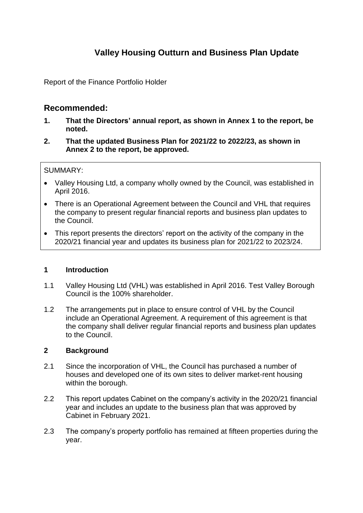# **Valley Housing Outturn and Business Plan Update**

Report of the Finance Portfolio Holder

# **Recommended:**

- **1. That the Directors' annual report, as shown in Annex 1 to the report, be noted.**
- **2. That the updated Business Plan for 2021/22 to 2022/23, as shown in Annex 2 to the report, be approved.**

### SUMMARY:

- Valley Housing Ltd, a company wholly owned by the Council, was established in April 2016.
- There is an Operational Agreement between the Council and VHL that requires the company to present regular financial reports and business plan updates to the Council.
- This report presents the directors' report on the activity of the company in the 2020/21 financial year and updates its business plan for 2021/22 to 2023/24.

### **1 Introduction**

- 1.1 Valley Housing Ltd (VHL) was established in April 2016. Test Valley Borough Council is the 100% shareholder.
- 1.2 The arrangements put in place to ensure control of VHL by the Council include an Operational Agreement. A requirement of this agreement is that the company shall deliver regular financial reports and business plan updates to the Council.

### **2 Background**

- 2.1 Since the incorporation of VHL, the Council has purchased a number of houses and developed one of its own sites to deliver market-rent housing within the borough.
- 2.2 This report updates Cabinet on the company's activity in the 2020/21 financial year and includes an update to the business plan that was approved by Cabinet in February 2021.
- 2.3 The company's property portfolio has remained at fifteen properties during the year.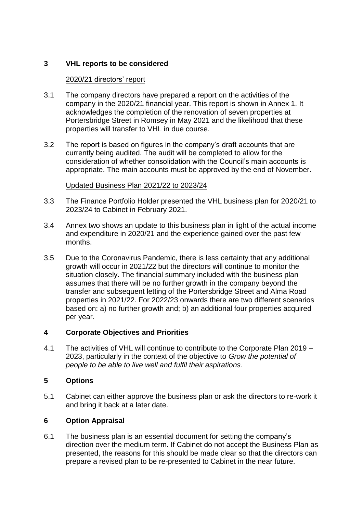# **3 VHL reports to be considered**

### 2020/21 directors' report

- 3.1 The company directors have prepared a report on the activities of the company in the 2020/21 financial year. This report is shown in Annex 1. It acknowledges the completion of the renovation of seven properties at Portersbridge Street in Romsey in May 2021 and the likelihood that these properties will transfer to VHL in due course.
- 3.2 The report is based on figures in the company's draft accounts that are currently being audited. The audit will be completed to allow for the consideration of whether consolidation with the Council's main accounts is appropriate. The main accounts must be approved by the end of November.

### Updated Business Plan 2021/22 to 2023/24

- 3.3 The Finance Portfolio Holder presented the VHL business plan for 2020/21 to 2023/24 to Cabinet in February 2021.
- 3.4 Annex two shows an update to this business plan in light of the actual income and expenditure in 2020/21 and the experience gained over the past few months.
- 3.5 Due to the Coronavirus Pandemic, there is less certainty that any additional growth will occur in 2021/22 but the directors will continue to monitor the situation closely. The financial summary included with the business plan assumes that there will be no further growth in the company beyond the transfer and subsequent letting of the Portersbridge Street and Alma Road properties in 2021/22. For 2022/23 onwards there are two different scenarios based on: a) no further growth and; b) an additional four properties acquired per year.

## **4 Corporate Objectives and Priorities**

4.1 The activities of VHL will continue to contribute to the Corporate Plan 2019 – 2023, particularly in the context of the objective to *Grow the potential of people to be able to live well and fulfil their aspirations*.

## **5 Options**

5.1 Cabinet can either approve the business plan or ask the directors to re-work it and bring it back at a later date.

## **6 Option Appraisal**

6.1 The business plan is an essential document for setting the company's direction over the medium term. If Cabinet do not accept the Business Plan as presented, the reasons for this should be made clear so that the directors can prepare a revised plan to be re-presented to Cabinet in the near future.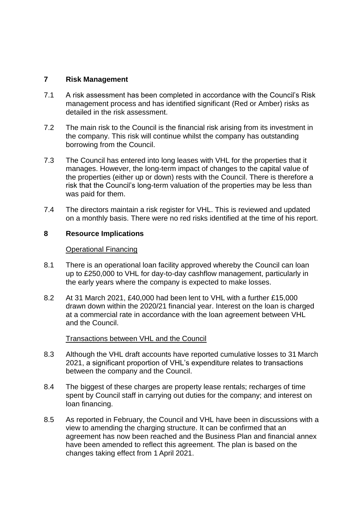### **7 Risk Management**

- 7.1 A risk assessment has been completed in accordance with the Council's Risk management process and has identified significant (Red or Amber) risks as detailed in the risk assessment.
- 7.2 The main risk to the Council is the financial risk arising from its investment in the company. This risk will continue whilst the company has outstanding borrowing from the Council.
- 7.3 The Council has entered into long leases with VHL for the properties that it manages. However, the long-term impact of changes to the capital value of the properties (either up or down) rests with the Council. There is therefore a risk that the Council's long-term valuation of the properties may be less than was paid for them.
- 7.4 The directors maintain a risk register for VHL. This is reviewed and updated on a monthly basis. There were no red risks identified at the time of his report.

#### **8 Resource Implications**

#### Operational Financing

- 8.1 There is an operational loan facility approved whereby the Council can loan up to £250,000 to VHL for day-to-day cashflow management, particularly in the early years where the company is expected to make losses.
- 8.2 At 31 March 2021, £40,000 had been lent to VHL with a further £15,000 drawn down within the 2020/21 financial year. Interest on the loan is charged at a commercial rate in accordance with the loan agreement between VHL and the Council.

#### Transactions between VHL and the Council

- 8.3 Although the VHL draft accounts have reported cumulative losses to 31 March 2021, a significant proportion of VHL's expenditure relates to transactions between the company and the Council.
- 8.4 The biggest of these charges are property lease rentals; recharges of time spent by Council staff in carrying out duties for the company; and interest on loan financing.
- 8.5 As reported in February, the Council and VHL have been in discussions with a view to amending the charging structure. It can be confirmed that an agreement has now been reached and the Business Plan and financial annex have been amended to reflect this agreement. The plan is based on the changes taking effect from 1 April 2021.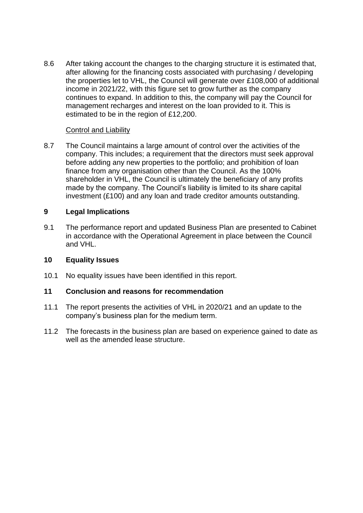8.6 After taking account the changes to the charging structure it is estimated that, after allowing for the financing costs associated with purchasing / developing the properties let to VHL, the Council will generate over £108,000 of additional income in 2021/22, with this figure set to grow further as the company continues to expand. In addition to this, the company will pay the Council for management recharges and interest on the loan provided to it. This is estimated to be in the region of £12,200.

### Control and Liability

8.7 The Council maintains a large amount of control over the activities of the company. This includes; a requirement that the directors must seek approval before adding any new properties to the portfolio; and prohibition of loan finance from any organisation other than the Council. As the 100% shareholder in VHL, the Council is ultimately the beneficiary of any profits made by the company. The Council's liability is limited to its share capital investment (£100) and any loan and trade creditor amounts outstanding.

### **9 Legal Implications**

9.1 The performance report and updated Business Plan are presented to Cabinet in accordance with the Operational Agreement in place between the Council and VHL.

### **10 Equality Issues**

10.1 No equality issues have been identified in this report.

#### **11 Conclusion and reasons for recommendation**

- 11.1 The report presents the activities of VHL in 2020/21 and an update to the company's business plan for the medium term.
- 11.2 The forecasts in the business plan are based on experience gained to date as well as the amended lease structure.